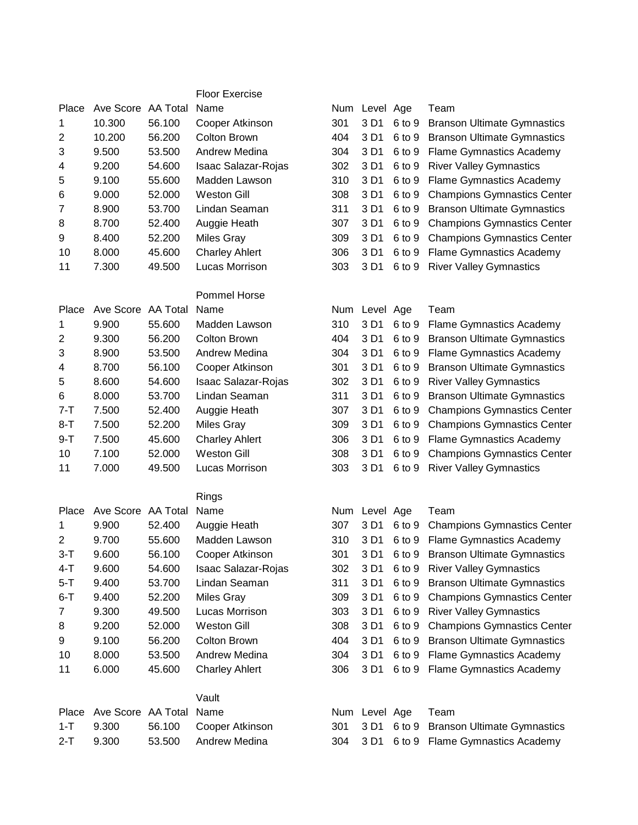## Floor Exercise

| Place   | Ave Score | AA Total | Name                       | Num |                  | Level Age | Team                               |
|---------|-----------|----------|----------------------------|-----|------------------|-----------|------------------------------------|
| 1       | 10.300    | 56.100   | Cooper Atkinson            | 301 | 3 D1             | 6 to 9    | <b>Branson Ultimate Gymnastics</b> |
| 2       | 10.200    | 56.200   | Colton Brown               | 404 | 3 D1             | 6 to 9    | <b>Branson Ultimate Gymnastics</b> |
| 3       | 9.500     | 53.500   | Andrew Medina              | 304 | 3 D <sub>1</sub> | 6 to 9    | <b>Flame Gymnastics Academy</b>    |
| 4       | 9.200     | 54.600   | <b>Isaac Salazar-Rojas</b> | 302 | 3 D <sub>1</sub> | 6 to 9    | <b>River Valley Gymnastics</b>     |
| 5       | 9.100     | 55.600   | Madden Lawson              | 310 | 3 D1             | 6 to 9    | <b>Flame Gymnastics Academy</b>    |
| 6       | 9.000     | 52.000   | <b>Weston Gill</b>         | 308 | 3 D1             | 6 to 9    | <b>Champions Gymnastics Center</b> |
| 7       | 8.900     | 53.700   | Lindan Seaman              | 311 | 3 D1             | 6 to 9    | <b>Branson Ultimate Gymnastics</b> |
| 8       | 8.700     | 52.400   | Auggie Heath               | 307 | 3 D1             | 6 to 9    | <b>Champions Gymnastics Center</b> |
| 9       | 8.400     | 52.200   | <b>Miles Gray</b>          | 309 | 3 D1             | 6 to 9    | <b>Champions Gymnastics Center</b> |
| 10      | 8.000     | 45.600   | <b>Charley Ahlert</b>      | 306 | 3 D1             | 6 to 9    | <b>Flame Gymnastics Academy</b>    |
| 11      | 7.300     | 49.500   | Lucas Morrison             | 303 | 3 D1             | 6 to 9    | <b>River Valley Gymnastics</b>     |
|         |           |          | <b>Pommel Horse</b>        |     |                  |           |                                    |
| Place   | Ave Score | AA Total | Name                       |     | Num Level Age    |           | Team                               |
| 1       | 9.900     | 55.600   | Madden Lawson              | 310 | 3 D1             | 6 to 9    | <b>Flame Gymnastics Academy</b>    |
| 2       | 9.300     | 56.200   | Colton Brown               | 404 | 3 D1             | 6 to 9    | <b>Branson Ultimate Gymnastics</b> |
| 3       | 8.900     | 53.500   | Andrew Medina              | 304 | 3 D1             | 6 to 9    | <b>Flame Gymnastics Academy</b>    |
| 4       | 8.700     | 56.100   | Cooper Atkinson            | 301 | 3 D1             | 6 to 9    | <b>Branson Ultimate Gymnastics</b> |
| 5       | 8.600     | 54.600   | Isaac Salazar-Rojas        | 302 | 3 D1             | 6 to 9    | <b>River Valley Gymnastics</b>     |
| 6       | 8.000     | 53.700   | Lindan Seaman              | 311 | 3 D1             | 6 to 9    | <b>Branson Ultimate Gymnastics</b> |
| $7 - T$ | 7.500     | 52.400   | Auggie Heath               | 307 | 3 D1             | 6 to 9    | <b>Champions Gymnastics Center</b> |
| $8 - T$ | 7.500     | 52.200   | <b>Miles Gray</b>          | 309 | 3 D1             | 6 to 9    | <b>Champions Gymnastics Center</b> |

|                |           |          | <b>Rings</b>          |     |               |                                      |
|----------------|-----------|----------|-----------------------|-----|---------------|--------------------------------------|
| Place          | Ave Score | AA Total | Name                  |     | Num Level Age | Team                                 |
| 1              | 9.900     | 52.400   | Auggie Heath          | 307 | 3 D1          | 6 to 9 Champions Gymnastics Cen      |
| 2              | 9.700     | 55,600   | Madden Lawson         | 310 |               | 3 D1 6 to 9 Flame Gymnastics Academy |
| $3-T$          | 9.600     | 56.100   | Cooper Atkinson       | 301 | 3 D1          | 6 to 9 Branson Ultimate Gymnastic    |
| $4-T$          | 9.600     | 54.600   | Isaac Salazar-Rojas   | 302 | 3 D1          | 6 to 9 River Valley Gymnastics       |
| $5-T$          | 9.400     | 53.700   | Lindan Seaman         | 311 | 3 D1          | 6 to 9 Branson Ultimate Gymnastic    |
| $6-T$          | 9.400     | 52,200   | Miles Gray            | 309 | 3 D1          | 6 to 9 Champions Gymnastics Cen      |
| $\overline{7}$ | 9.300     | 49.500   | Lucas Morrison        | 303 | 3 D1          | 6 to 9 River Valley Gymnastics       |
| 8              | 9.200     | 52,000   | Weston Gill           | 308 | 3 D1          | 6 to 9 Champions Gymnastics Cen      |
| 9              | 9.100     | 56,200   | Colton Brown          | 404 | 3 D1          | 6 to 9 Branson Ultimate Gymnastic    |
| 10             | 8.000     | 53,500   | Andrew Medina         | 304 |               | 3 D1 6 to 9 Flame Gymnastics Academy |
| 11             | 6.000     | 45.600   | <b>Charley Ahlert</b> | 306 | 3 D1          | 6 to 9 Flame Gymnastics Academy      |

|               |                               | Vault                  |  |                       |  |
|---------------|-------------------------------|------------------------|--|-----------------------|--|
|               | Place Ave Score AA Total Name |                        |  | Num Level Age Team    |  |
|               | 1-T 9.300                     | 56.100 Cooper Atkinson |  | 301 3 D1 6 to 9 Brans |  |
| $2 - T$ 9.300 |                               | 53.500 Andrew Medina   |  | 304 3 D1 6 to 9 Flame |  |

| Num | Level            | Age    | Team                               |
|-----|------------------|--------|------------------------------------|
| 301 | 3 D <sub>1</sub> | 6 to 9 | <b>Branson Ultimate Gymnastics</b> |
| 404 | 3 D1             | 6 to 9 | <b>Branson Ultimate Gymnastics</b> |
| 304 | 3 D1             | 6 to 9 | <b>Flame Gymnastics Academy</b>    |
| 302 | 3 D1             | 6 to 9 | <b>River Valley Gymnastics</b>     |
| 310 | 3 D1             | 6 to 9 | <b>Flame Gymnastics Academy</b>    |
| 308 | 3 D1             | 6 to 9 | <b>Champions Gymnastics Center</b> |
| 311 | 3 D1             | 6 to 9 | <b>Branson Ultimate Gymnastics</b> |
| 307 | 3 D1             | 6 to 9 | <b>Champions Gymnastics Center</b> |
| 309 | 3 D1             | 6 to 9 | <b>Champions Gymnastics Center</b> |
| 306 | 3 D1             | 6 to 9 | <b>Flame Gymnastics Academy</b>    |
| 303 | 3 D1             | 6 to 9 | <b>River Valley Gymnastics</b>     |

| Place | Ave Score | AA Total | Name                  | Num | Level Age | Team                                    |
|-------|-----------|----------|-----------------------|-----|-----------|-----------------------------------------|
| 1.    | 9.900     | 55.600   | Madden Lawson         | 310 |           | 3 D1 6 to 9 Flame Gymnastics Academy    |
| 2     | 9.300     | 56.200   | Colton Brown          | 404 | 3 D1      | 6 to 9 Branson Ultimate Gymnastics      |
| 3     | 8.900     | 53.500   | Andrew Medina         | 304 |           | 3 D1 6 to 9 Flame Gymnastics Academy    |
| 4     | 8.700     | 56.100   | Cooper Atkinson       | 301 |           | 3 D1 6 to 9 Branson Ultimate Gymnastics |
| 5.    | 8.600     | 54.600   | Isaac Salazar-Rojas   | 302 | 3 D1      | 6 to 9 River Valley Gymnastics          |
| 6     | 8.000     | 53.700   | Lindan Seaman         | 311 |           | 3 D1 6 to 9 Branson Ultimate Gymnastics |
| 7-T   | 7.500     | 52.400   | Auggie Heath          | 307 |           | 3 D1 6 to 9 Champions Gymnastics Center |
| 8-T   | 7.500     | 52.200   | Miles Gray            | 309 |           | 3 D1 6 to 9 Champions Gymnastics Center |
| 9-T   | 7.500     | 45.600   | <b>Charley Ahlert</b> | 306 |           | 3 D1 6 to 9 Flame Gymnastics Academy    |
| 10    | 7.100     | 52.000   | <b>Weston Gill</b>    | 308 | 3 D1      | 6 to 9 Champions Gymnastics Center      |
| 11    | 7.000     | 49.500   | Lucas Morrison        | 303 | 3 D1      | 6 to 9 River Valley Gymnastics          |
|       |           |          |                       |     |           |                                         |

| Place          | Ave Score | AA Total | Name                       | Num | Level Age | Team                                    |
|----------------|-----------|----------|----------------------------|-----|-----------|-----------------------------------------|
| 1.             | 9.900     | 52.400   | Auggie Heath               | 307 |           | 3 D1 6 to 9 Champions Gymnastics Center |
| $\mathbf{2}^-$ | 9.700     | 55.600   | Madden Lawson              | 310 |           | 3 D1 6 to 9 Flame Gymnastics Academy    |
| 3-T            | 9.600     | 56.100   | Cooper Atkinson            | 301 |           | 3 D1 6 to 9 Branson Ultimate Gymnastics |
| 4-T            | 9.600     | 54.600   | <b>Isaac Salazar-Rojas</b> | 302 |           | 3 D1 6 to 9 River Valley Gymnastics     |
| 5-T            | 9.400     | 53.700   | Lindan Seaman              | 311 |           | 3 D1 6 to 9 Branson Ultimate Gymnastics |
| 6-T            | 9.400     | 52.200   | Miles Gray                 | 309 |           | 3 D1 6 to 9 Champions Gymnastics Center |
| $\overline{7}$ | 9.300     | 49.500   | Lucas Morrison             | 303 |           | 3 D1 6 to 9 River Valley Gymnastics     |
| 8              | 9.200     | 52.000   | Weston Gill                | 308 |           | 3 D1 6 to 9 Champions Gymnastics Center |
| 9              | 9.100     | 56.200   | Colton Brown               | 404 |           | 3 D1 6 to 9 Branson Ultimate Gymnastics |
| 10             | 8.000     | 53.500   | Andrew Medina              | 304 |           | 3 D1 6 to 9 Flame Gymnastics Academy    |
| 11             | 6.000     | 45.600   | <b>Charley Ahlert</b>      | 306 | 3 D1      | 6 to 9 Flame Gymnastics Academy         |

| Place Ave Score AA Total Name |                        |  | Num Level Age Team |                                             |
|-------------------------------|------------------------|--|--------------------|---------------------------------------------|
| 1-T 9.300                     | 56.100 Cooper Atkinson |  |                    | 301 3 D1 6 to 9 Branson Ultimate Gymnastics |
| 2-T 9.300                     | 53.500 Andrew Medina   |  |                    | 304 3 D1 6 to 9 Flame Gymnastics Academy    |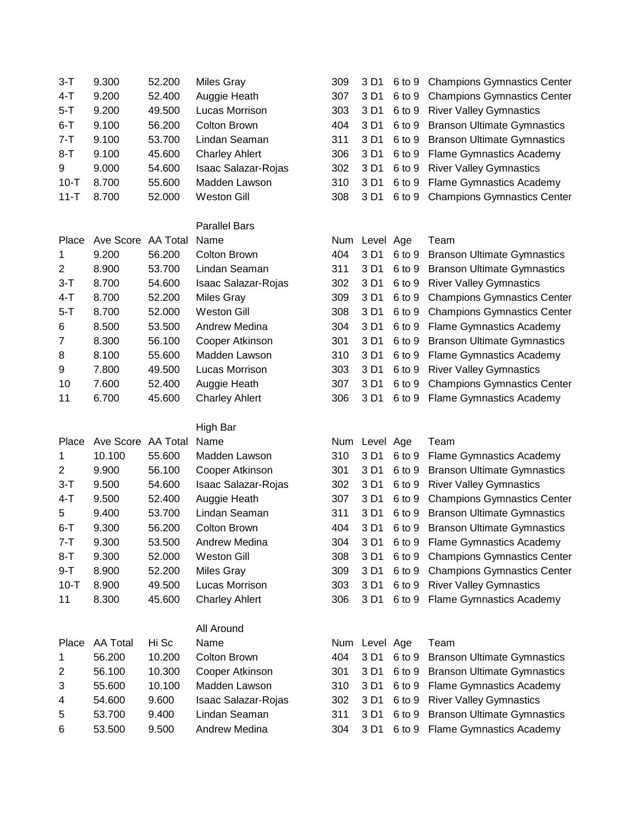| $3-T$          | 9.300              | 52.200         | <b>Miles Gray</b>              | 309        | 3 D1          | 6 to 9           | <b>Champions Gymnastics Center</b>                             |
|----------------|--------------------|----------------|--------------------------------|------------|---------------|------------------|----------------------------------------------------------------|
| 4-T            | 9.200              | 52.400         | Auggie Heath                   | 307        | 3 D1          | 6 to 9           | <b>Champions Gymnastics Center</b>                             |
| $5 - T$        | 9.200              | 49.500         | Lucas Morrison                 | 303        | 3 D1          | 6 to 9           | <b>River Valley Gymnastics</b>                                 |
| $6 - T$        | 9.100              | 56.200         | <b>Colton Brown</b>            | 404        | 3 D1          | 6 to 9           | <b>Branson Ultimate Gymnastics</b>                             |
| $7 - T$        | 9.100              | 53.700         | Lindan Seaman                  | 311        | 3 D1          | 6 to 9           | <b>Branson Ultimate Gymnastics</b>                             |
| $8 - T$        | 9.100              | 45.600         | <b>Charley Ahlert</b>          | 306        | 3 D1          | 6 to 9           | <b>Flame Gymnastics Academy</b>                                |
| 9              | 9.000              | 54.600         | Isaac Salazar-Rojas            | 302        | 3 D1          | 6 to 9           | <b>River Valley Gymnastics</b>                                 |
| $10 - T$       | 8.700              | 55.600         | Madden Lawson                  | 310        | 3 D1          | 6 to 9           | <b>Flame Gymnastics Academy</b>                                |
| $11 - T$       | 8.700              | 52.000         | <b>Weston Gill</b>             | 308        | 3 D1          | 6 to 9           | <b>Champions Gymnastics Center</b>                             |
|                |                    |                |                                |            |               |                  |                                                                |
|                |                    |                | <b>Parallel Bars</b>           |            |               |                  |                                                                |
| Place          | Ave Score AA Total |                | Name                           | Num        | Level Age     |                  | Team                                                           |
| 1              | 9.200              | 56.200         | <b>Colton Brown</b>            | 404        | 3 D1          | 6 to 9           | <b>Branson Ultimate Gymnastics</b>                             |
| $\overline{2}$ | 8.900              | 53.700         | Lindan Seaman                  | 311        | 3 D1          | 6 to 9           | <b>Branson Ultimate Gymnastics</b>                             |
| $3-T$          | 8.700              | 54.600         | Isaac Salazar-Rojas            | 302        | 3 D1          | 6 to 9           | <b>River Valley Gymnastics</b>                                 |
| $4-T$          | 8.700              | 52.200         | <b>Miles Gray</b>              | 309        | 3 D1          | 6 to 9           | <b>Champions Gymnastics Center</b>                             |
| $5 - T$        | 8.700              | 52.000         | <b>Weston Gill</b>             | 308        | 3 D1          | 6 to 9           | <b>Champions Gymnastics Center</b>                             |
| 6              | 8.500              | 53.500         | Andrew Medina                  | 304        | 3 D1          | 6 to 9           | <b>Flame Gymnastics Academy</b>                                |
| 7              | 8.300              | 56.100         | Cooper Atkinson                | 301        | 3 D1          | 6 to 9           | <b>Branson Ultimate Gymnastics</b>                             |
| 8              | 8.100              | 55.600         | Madden Lawson                  | 310        | 3 D1          | 6 to 9           | <b>Flame Gymnastics Academy</b>                                |
| 9              | 7.800              | 49.500         | Lucas Morrison                 | 303        | 3 D1          | 6 to 9           | <b>River Valley Gymnastics</b>                                 |
| 10             | 7.600              | 52.400         | Auggie Heath                   | 307        | 3 D1          | 6 to 9           | <b>Champions Gymnastics Center</b>                             |
| 11             | 6.700              | 45.600         | <b>Charley Ahlert</b>          | 306        | 3 D1          | 6 to 9           | <b>Flame Gymnastics Academy</b>                                |
|                |                    |                | High Bar                       |            |               |                  |                                                                |
| Place          | Ave Score AA Total |                | Name                           |            | Num Level Age |                  | Team                                                           |
| 1              | 10.100             | 55.600         | Madden Lawson                  | 310        | 3 D1          | 6 to 9           | <b>Flame Gymnastics Academy</b>                                |
| 2              | 9.900              | 56.100         | Cooper Atkinson                | 301        | 3 D1          | 6 to 9           | <b>Branson Ultimate Gymnastics</b>                             |
| $3-T$          | 9.500              | 54.600         | Isaac Salazar-Rojas            | 302        | 3 D1          | 6 to 9           | <b>River Valley Gymnastics</b>                                 |
| $4 - T$        | 9.500              | 52.400         | Auggie Heath                   | 307        | 3 D1          | 6 to 9           | <b>Champions Gymnastics Center</b>                             |
| 5              | 9.400              | 53.700         | Lindan Seaman                  | 311        | 3 D1          | 6 to 9           | <b>Branson Ultimate Gymnastics</b>                             |
| $6 - T$        | 9.300              | 56.200         | <b>Colton Brown</b>            | 404        | 3 D1          |                  | 6 to 9 Branson Ultimate Gymnastics                             |
| 7-T            | 9.300              | 53.500         | Andrew Medina                  | 304        | 3 D1          |                  | 6 to 9 Flame Gymnastics Academy                                |
| $8 - T$        | 9.300              | 52.000         | <b>Weston Gill</b>             | 308        | 3 D1          | 6 to 9           | <b>Champions Gymnastics Center</b>                             |
| $9 - T$        | 8.900              | 52.200         | <b>Miles Gray</b>              | 309        | 3 D1          | 6 to 9           | <b>Champions Gymnastics Center</b>                             |
| $10 - T$       | 8.900              | 49.500         | Lucas Morrison                 | 303        | 3 D1          | 6 to 9           | <b>River Valley Gymnastics</b>                                 |
| 11             | 8.300              | 45.600         | <b>Charley Ahlert</b>          | 306        | 3 D1          | 6 to 9           | Flame Gymnastics Academy                                       |
|                |                    |                |                                |            |               |                  |                                                                |
|                |                    |                | All Around                     |            |               |                  |                                                                |
| Place          | AA Total           | Hi Sc          | Name                           | Num        | Level Age     |                  | Team                                                           |
| 1              | 56.200             | 10.200         | Colton Brown                   | 404        | 3 D1          | 6 to 9           | <b>Branson Ultimate Gymnastics</b>                             |
| 2              | 56.100             | 10.300         | Cooper Atkinson                | 301        | 3 D1          | 6 to 9           | <b>Branson Ultimate Gymnastics</b>                             |
| 3              | 55.600             | 10.100         | Madden Lawson                  | 310        | 3 D1          | 6 to 9           | <b>Flame Gymnastics Academy</b>                                |
| 4              | 54.600             | 9.600          | Isaac Salazar-Rojas            | 302        | 3 D1          | 6 to 9           | <b>River Valley Gymnastics</b>                                 |
|                |                    |                |                                |            |               |                  |                                                                |
|                |                    |                |                                |            |               |                  |                                                                |
| 5<br>6         | 53.700<br>53.500   | 9.400<br>9.500 | Lindan Seaman<br>Andrew Medina | 311<br>304 | 3 D1<br>3 D1  | 6 to 9<br>6 to 9 | <b>Branson Ultimate Gymnastics</b><br>Flame Gymnastics Academy |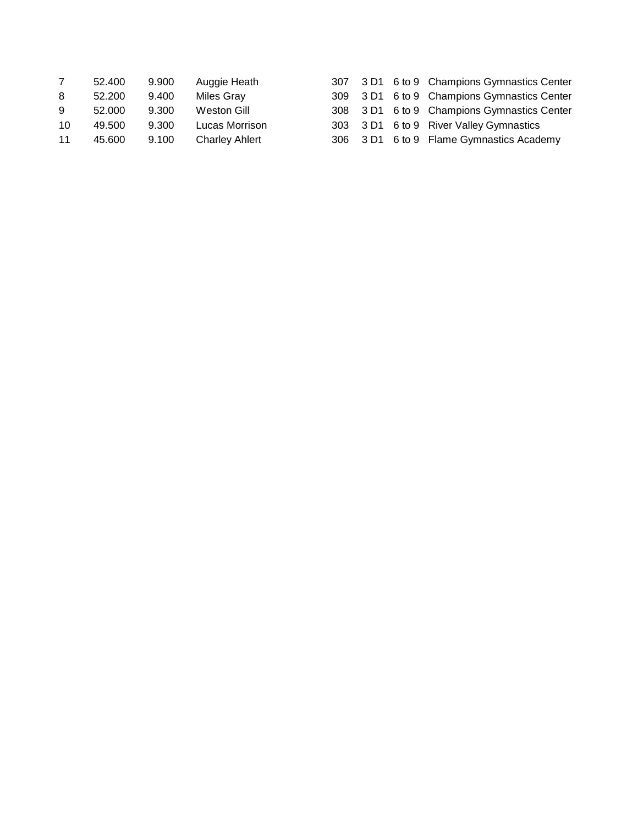|    | 52.400 | 9.900 | Auggie Heath          |  | 307 3 D1 6 to 9 Champions Gymnastics Center |
|----|--------|-------|-----------------------|--|---------------------------------------------|
| 8  | 52.200 | 9.400 | <b>Miles Gray</b>     |  | 309 3 D1 6 to 9 Champions Gymnastics Center |
| 9  | 52.000 | 9.300 | Weston Gill           |  | 308 3 D1 6 to 9 Champions Gymnastics Center |
| 10 | 49.500 | 9.300 | Lucas Morrison        |  | 303 3 D1 6 to 9 River Valley Gymnastics     |
| 11 | 45.600 | 9.100 | <b>Charley Ahlert</b> |  | 306 3 D1 6 to 9 Flame Gymnastics Academy    |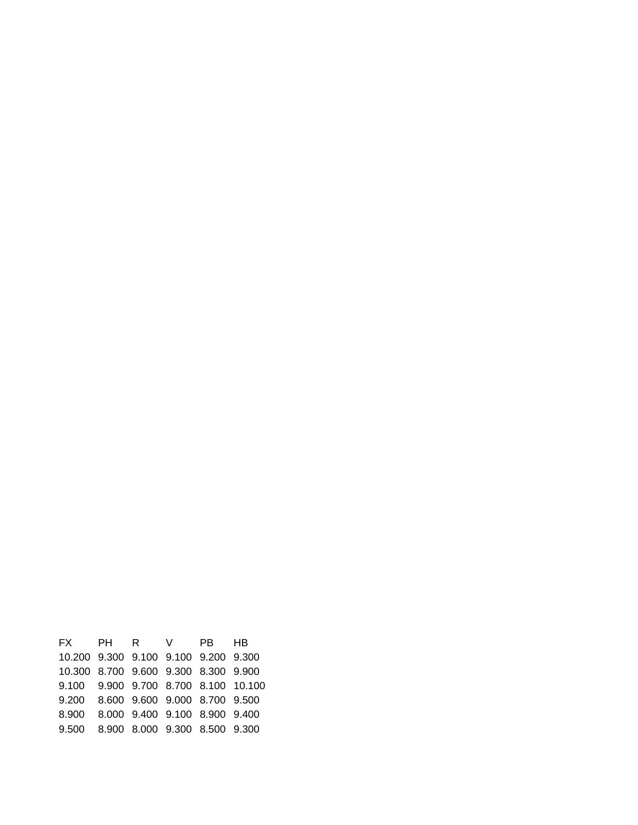| FX PH R V PB HB                          |  |  |  |
|------------------------------------------|--|--|--|
| 10.200 9.300 9.100 9.100 9.200 9.300     |  |  |  |
| 10.300 8.700 9.600 9.300 8.300 9.900     |  |  |  |
| 9.100 9.900 9.700 8.700 8.100 10.100     |  |  |  |
| 9.200  8.600  9.600  9.000  8.700  9.500 |  |  |  |
| 8.900 8.000 9.400 9.100 8.900 9.400      |  |  |  |
| 9.500 8.900 8.000 9.300 8.500 9.300      |  |  |  |